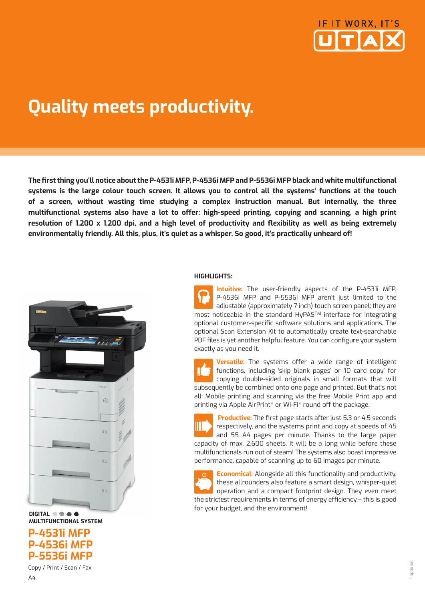

# **Quality meets productivity.**

**The fi rst thing you'll notice about the P-4531i MFP, P-4536i MFP and P-5536i MFP black and white multifunctional systems is the large colour touch screen. It allows you to control all the systems' functions at the touch of a screen, without wasting time studying a complex instruction manual. But internally, the three**  multifunctional systems also have a lot to offer: high-speed printing, copying and scanning, a high print resolution of 1,200 x 1,200 dpi, and a high level of productivity and flexibility as well as being extremely **environmentally friendly. All this, plus, it's quiet as a whisper. So good, it's practically unheard of!**



#### **DIGITAL MULTIFUNCTIONAL SYSTEM**

**P-4531i MFP P-4536i MFP P-5536i MFP**

Copy / Print / Scan / Fax A4

#### **HIGHLIGHTS:**

**Intuitive:** The user-friendly aspects of the P-4531i MFP, P-4536i MFP and P-5536i MFP aren't just limited to the adjustable (approximately 7 inch) touch screen panel; they are most noticeable in the standard HyPASTM interface for integrating optional customer-specific software solutions and applications. The optional Scan Extension Kit to automatically create text-searchable PDF files is yet another helpful feature. You can configure your system exactly as you need it.

Versatile: The systems offer a wide range of intelligent functions, including 'skip blank pages' or 'ID card copy' for copying double-sided originals in small formats that will subsequently be combined onto one page and printed. But that's not all: Mobile printing and scanning via the free Mobile Print app and printing via Apple AirPrint\* or Wi-Fi\* round off the package.



**Productive:** The first page starts after just 5.3 or 4.5 seconds respectively, and the systems print and copy at speeds of 45 and 55 A4 pages per minute. Thanks to the large paper capacity of max. 2,600 sheets, it will be a long while before these multifunctionals run out of steam! The systems also boast impressive performance, capable of scanning up to 60 images per minute.

**Economical:** Alongside all this functionality and productivity, these allrounders also feature a smart design, whisper-quiet operation and a compact footprint design. They even meet the strictest requirements in terms of energy efficiency - this is good for your budget, and the environment!